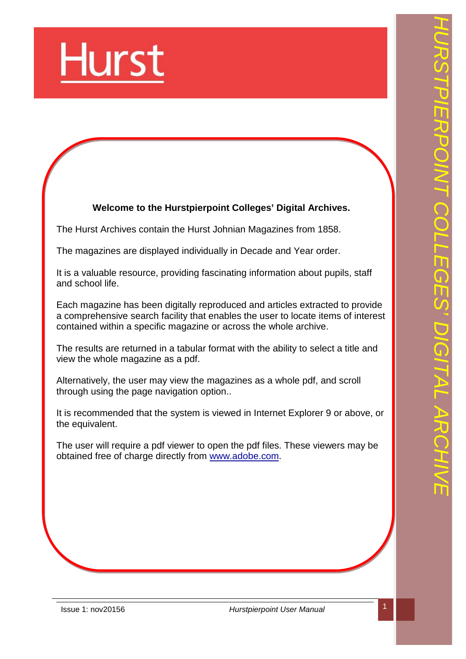

# **Welcome to the Hurstpierpoint Colleges' Digital Archives.**

The Hurst Archives contain the Hurst Johnian Magazines from 1858.

The magazines are displayed individually in Decade and Year order.

It is a valuable resource, providing fascinating information about pupils, staff and school life.

Each magazine has been digitally reproduced and articles extracted to provide a comprehensive search facility that enables the user to locate items of interest contained within a specific magazine or across the whole archive.

The results are returned in a tabular format with the ability to select a title and view the whole magazine as a pdf.

Alternatively, the user may view the magazines as a whole pdf, and scroll through using the page navigation option..

It is recommended that the system is viewed in Internet Explorer 9 or above, or the equivalent.

The user will require a pdf viewer to open the pdf files. These viewers may be obtained free of charge directly from [www.adobe.com](http://www.adobe.com).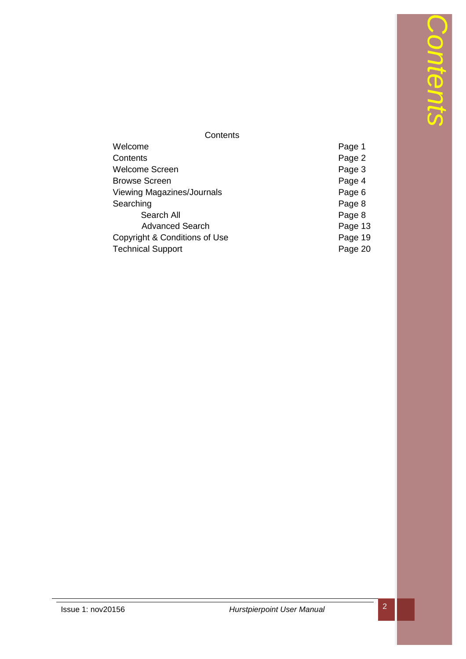# **Contents**

| Welcome                           | Page 1  |
|-----------------------------------|---------|
| Contents                          | Page 2  |
| <b>Welcome Screen</b>             | Page 3  |
| <b>Browse Screen</b>              | Page 4  |
| <b>Viewing Magazines/Journals</b> | Page 6  |
| Searching                         | Page 8  |
| Search All                        | Page 8  |
| <b>Advanced Search</b>            | Page 13 |
| Copyright & Conditions of Use     | Page 19 |
| <b>Technical Support</b>          | Page 20 |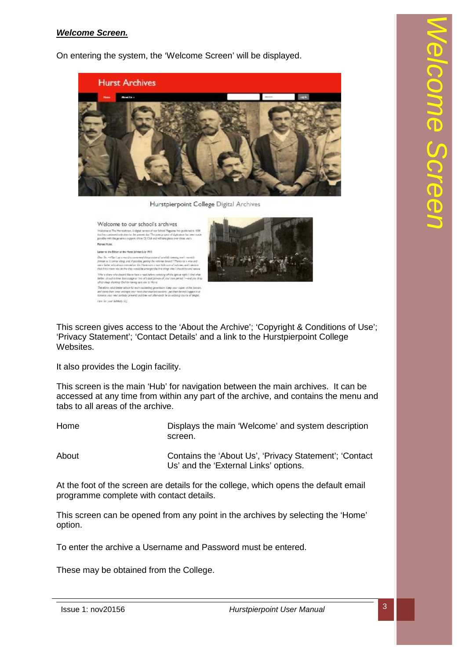### *Welcome Screen.*

On entering the system, the 'Welcome Screen' will be displayed.



Hurstpierpoint College Digital Archives



This screen gives access to the 'About the Archive'; 'Copyright & Conditions of Use'; 'Privacy Statement'; 'Contact Details' and a link to the Hurstpierpoint College Websites.

It also provides the Login facility.

This screen is the main 'Hub' for navigation between the main archives. It can be accessed at any time from within any part of the archive, and contains the menu and tabs to all areas of the archive.

Home Displays the main 'Welcome' and system description screen.

About Contains the 'About Us', 'Privacy Statement'; 'Contact Us' and the 'External Links' options.

At the foot of the screen are details for the college, which opens the default email programme complete with contact details.

This screen can be opened from any point in the archives by selecting the 'Home' option.

To enter the archive a Username and Password must be entered.

These may be obtained from the College.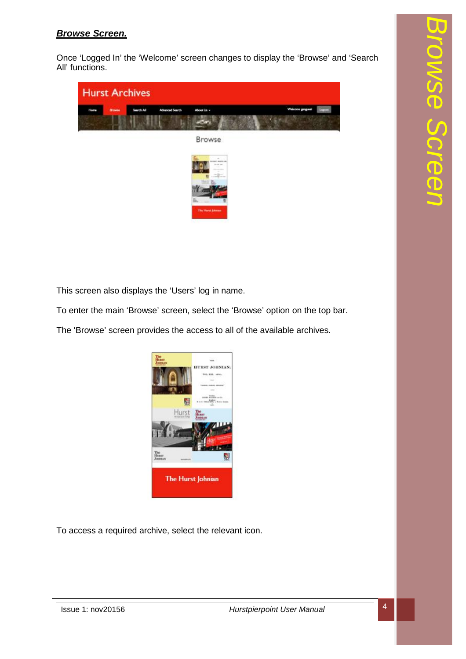## *Browse Screen.*

Once 'Logged In' the 'Welcome' screen changes to display the 'Browse' and 'Search All' functions.



This screen also displays the 'Users' log in name.

To enter the main 'Browse' screen, select the 'Browse' option on the top bar.

The 'Browse' screen provides the access to all of the available archives.



To access a required archive, select the relevant icon.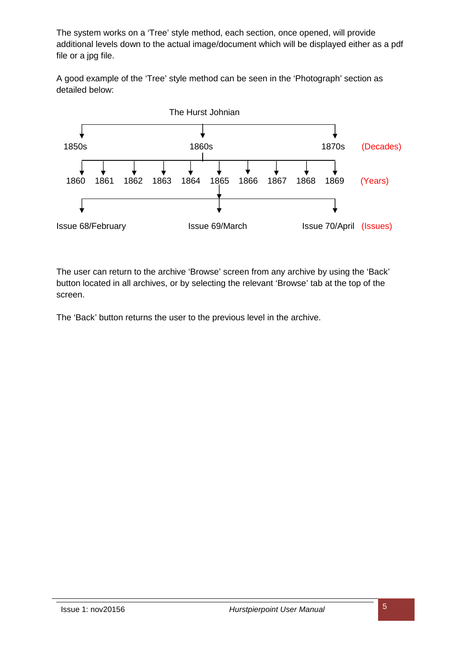The system works on a 'Tree' style method, each section, once opened, will provide additional levels down to the actual image/document which will be displayed either as a pdf file or a jpg file.

A good example of the 'Tree' style method can be seen in the 'Photograph' section as detailed below:



The user can return to the archive 'Browse' screen from any archive by using the 'Back' button located in all archives, or by selecting the relevant 'Browse' tab at the top of the screen.

The 'Back' button returns the user to the previous level in the archive.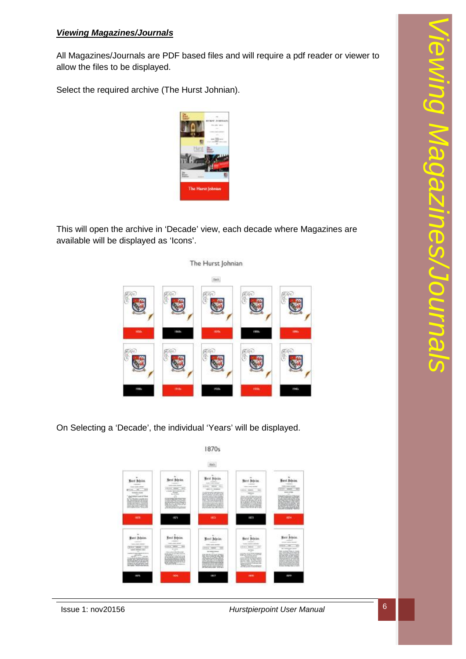## *Viewing Magazines/Journals*

All Magazines/Journals are PDF based files and will require a pdf reader or viewer to allow the files to be displayed.

Select the required archive (The Hurst Johnian).

This will open the archive in 'Decade' view, each decade where Magazines are available will be displayed as 'Icons'.



On Selecting a 'Decade', the individual 'Years' will be displayed.

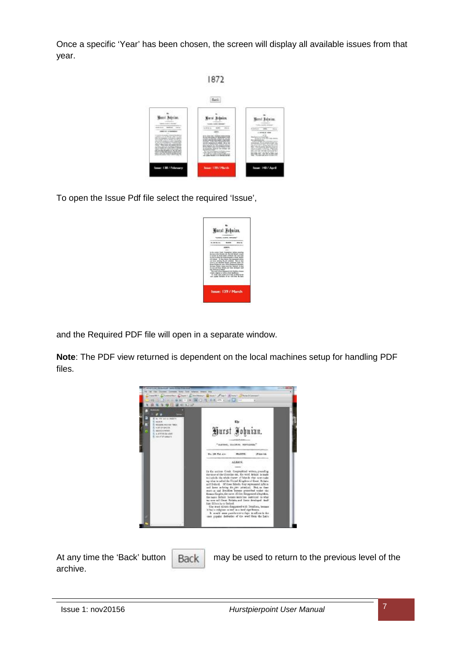Once a specific 'Year' has been chosen, the screen will display all available issues from that year.



To open the Issue Pdf file select the required 'Issue',

| Wurst Johnian.     |  |  |
|--------------------|--|--|
|                    |  |  |
|                    |  |  |
| Issue: 139 / March |  |  |

and the Required PDF file will open in a separate window.

**Note**: The PDF view returned is dependent on the local machines setup for handling PDF files.



| At any time the 'Back' button   Back | may be used to return to the previous level of the |
|--------------------------------------|----------------------------------------------------|
| archive.                             |                                                    |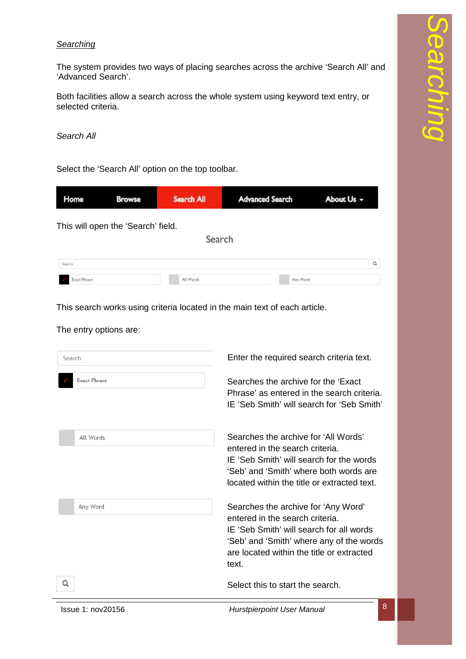### *Searching*

The system provides two ways of placing searches across the archive 'Search All' and 'Advanced Search'.

Both facilities allow a search across the whole system using keyword text entry, or selected criteria.

*Search All* 

Select the 'Search All' option on the top toolbar.

| Home                | <b>Browse</b>                      | Search All | <b>Advanced Search</b> | About Us - |
|---------------------|------------------------------------|------------|------------------------|------------|
|                     | This will open the 'Search' field. |            |                        |            |
|                     |                                    | Search     |                        |            |
| Search              |                                    |            |                        | Q          |
| <b>Exact Phrase</b> |                                    | All Words  | Any Word               |            |

This search works using criteria located in the main text of each article.

The entry options are:

| Search              | Enter the required search criteria text.                                                                                                                                                                             |
|---------------------|----------------------------------------------------------------------------------------------------------------------------------------------------------------------------------------------------------------------|
| <b>Exact Phrase</b> | Searches the archive for the 'Exact'<br>Phrase' as entered in the search criteria.<br>IE 'Seb Smith' will search for 'Seb Smith'                                                                                     |
| All Words           | Searches the archive for 'All Words'<br>entered in the search criteria.<br>IE 'Seb Smith' will search for the words<br>'Seb' and 'Smith' where both words are<br>located within the title or extracted text.         |
| Any Word            | Searches the archive for 'Any Word'<br>entered in the search criteria.<br>IE 'Seb Smith' will search for all words<br>'Seb' and 'Smith' where any of the words<br>are located within the title or extracted<br>text. |
| Q                   | Select this to start the search.                                                                                                                                                                                     |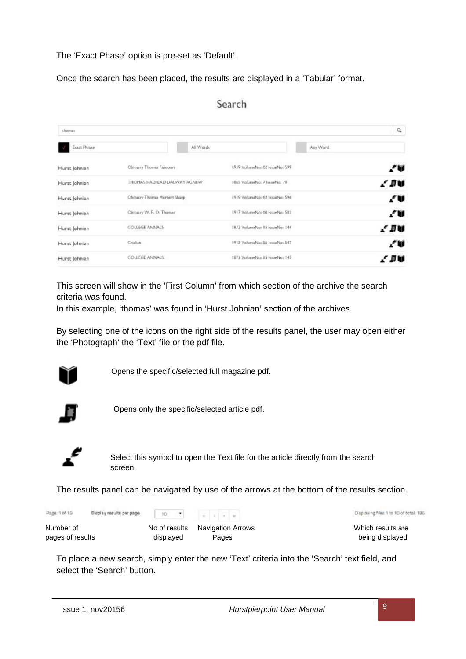The 'Exact Phase' option is pre-set as 'Default'.

Once the search has been placed, the results are displayed in a 'Tabular' format.

| thomas        |                               |           |                                              |          | $\alpha$ |
|---------------|-------------------------------|-----------|----------------------------------------------|----------|----------|
| Exact Phrase  |                               | All Words |                                              | Any Word |          |
| Hurst Johnian | Obituary Thomas Fancourt      |           | an na sala<br>1919 VolumeNo: 62 IssueNo: 599 |          | .⁄ W     |
| Hurst Johnian | THOMAS HALHEAD DALWAY AGNEW   |           | 1865 ValumeNa: 7 IssueNa: 70                 |          | l du     |
| Hurst Johnian | Obituary Thomas Herbert Sharp |           | 1919 VolumeNo: 62 IssueNo: 596               |          | ."W      |
| Hurst Johnian | Obituary W. P. O. Thomas      |           | 1917 VolumeNo: 60 IssueNo: 582               |          | 70       |
| Hurst Johnian | COLLEGE ANNALS                |           | 1872 VolumeNo: 15 IssueNo: 144               |          | / JV     |
| Hurst Johnian | Cricket                       |           | 1913 VolumeNo: S6 InsueNo: 547               |          | £V       |
| Hurst Johnian | COLLEGE ANNALS.               |           | 1872 VolumeNo: 15 IssueNo: 145               |          | / IV     |

# Search

This screen will show in the 'First Column' from which section of the archive the search criteria was found.

In this example, 'thomas' was found in 'Hurst Johnian' section of the archives.

By selecting one of the icons on the right side of the results panel, the user may open either the 'Photograph' the 'Text' file or the pdf file.



Opens the specific/selected full magazine pdf.



Opens only the specific/selected article pdf.



Select this symbol to open the Text file for the article directly from the search screen.

The results panel can be navigated by use of the arrows at the bottom of the results section.

| Page: 1 of 19    | Display results per page: | 10<br>$\sim$  |                   | Displaying files 1 to 10 of total: 196 |
|------------------|---------------------------|---------------|-------------------|----------------------------------------|
| Number of        |                           | No of results | Navigation Arrows | Which results are                      |
| pages of results |                           | displayed     | Pages             | being displayed                        |

To place a new search, simply enter the new 'Text' criteria into the 'Search' text field, and select the 'Search' button.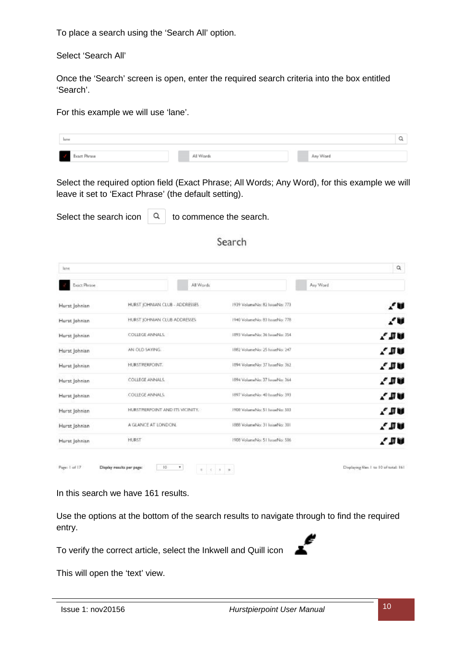To place a search using the 'Search All' option.

Select 'Search All'

Once the 'Search' screen is open, enter the required search criteria into the box entitled 'Search'.

For this example we will use 'lane'.

| lane                      |           |          |
|---------------------------|-----------|----------|
| $\bar{d}$<br>Exact Phrase | All Words | Any Word |

Select the required option field (Exact Phrase; All Words; Any Word), for this example we will leave it set to 'Exact Phrase' (the default setting).

|  |  | Select the search icon $\begin{array}{ c c } \hline \text{Q} & \text{to commence the search.} \end{array}$ |
|--|--|------------------------------------------------------------------------------------------------------------|
|--|--|------------------------------------------------------------------------------------------------------------|

## Search

| line                |                                      |                                | $\alpha$                               |
|---------------------|--------------------------------------|--------------------------------|----------------------------------------|
| <b>Exact Phrase</b> | All Words                            |                                | Any Word                               |
| Hurst Johnian       | HURST JOHNIAN CLUB - ADDRESSES       | 1939 VolumeNo: 82 IssueNo: 773 | .∕ U                                   |
| Hurst Johnian       | HURST JOHNIAN CLUB ADDRESSES         | 1940 VolumeNo: 83 IssueNo: 778 | 7₩                                     |
| Hurst Johnian       | COLLEGE ANNALS:                      | 1893 VolumeNex 36 IssueNex 354 | l IV.                                  |
| Hurst Johnian       | AN OLD SAYING.                       | 1882 VolumeNo: 25 IssueNo: 247 | 7 ји                                   |
| Hurst Johnian       | HURSTRERPOINT.                       | 1894 VolumeNo: 37 IssueNo: 362 | $\ell$ du                              |
| Hurst Johnian       | COLLEGE ANNALS.                      | 1894 VolumeNo: 37 IssueNo: 364 | . Пи                                   |
| Hurst Johnian       | COLLEGE ANNALS.                      | 1897 VolumeNo: 40 IssueNo: 393 | 7 II V                                 |
| Hurst Johnian       | HURST PIERPOINT AND ITS VICINITY.    | 1908 VolumeNex 51 IssueNex 503 | . ји                                   |
| Hurst Johnian       | A GLANCE AT LONDON.                  | 1888 VolumeNo: 31 IssueNo: 301 | e div                                  |
| Hurst Johnian       | <b>HURST</b>                         | 1908 VolumeNo: 51 IssueNo: 506 | 7 J V                                  |
|                     |                                      |                                |                                        |
| Page: 1 of 17       | 10<br>Display results per page:<br>٠ | 0 < 11 < 0                     | Displaying files 1 to 10 of total: 161 |

In this search we have 161 results.

Use the options at the bottom of the search results to navigate through to find the required entry.

To verify the correct article, select the Inkwell and Quill icon



This will open the 'text' view.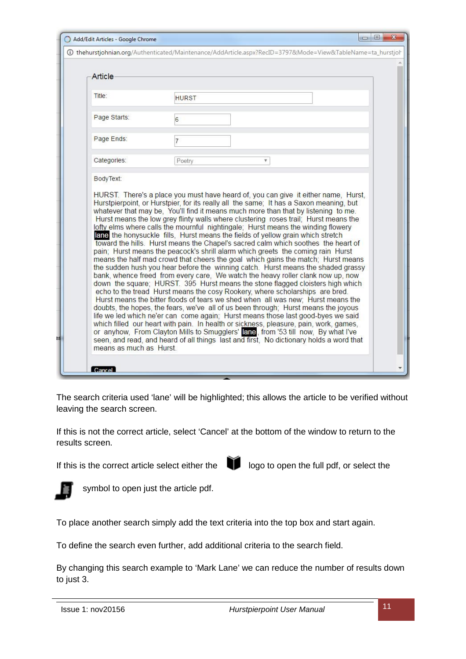| Add/Edit Articles - Google Chrome |                |                                                                                                                                                                                                                                                                                                                                                                                                                                                                                                                                                                                                                                                                                                                                                                                                                                                                                                                                                                                                                                                                                                                                                                                                                                                                                                                                                                                                                                                                                                                                                                                                                                                                              | $\Box$ $\Box$ |  |
|-----------------------------------|----------------|------------------------------------------------------------------------------------------------------------------------------------------------------------------------------------------------------------------------------------------------------------------------------------------------------------------------------------------------------------------------------------------------------------------------------------------------------------------------------------------------------------------------------------------------------------------------------------------------------------------------------------------------------------------------------------------------------------------------------------------------------------------------------------------------------------------------------------------------------------------------------------------------------------------------------------------------------------------------------------------------------------------------------------------------------------------------------------------------------------------------------------------------------------------------------------------------------------------------------------------------------------------------------------------------------------------------------------------------------------------------------------------------------------------------------------------------------------------------------------------------------------------------------------------------------------------------------------------------------------------------------------------------------------------------------|---------------|--|
|                                   |                | 4 O thehurstjohnian.org/Authenticated/Maintenance/AddArticle.aspx?RecID=3797&Mode=View&TableName=ta_hurstjoh                                                                                                                                                                                                                                                                                                                                                                                                                                                                                                                                                                                                                                                                                                                                                                                                                                                                                                                                                                                                                                                                                                                                                                                                                                                                                                                                                                                                                                                                                                                                                                 |               |  |
| Article                           |                |                                                                                                                                                                                                                                                                                                                                                                                                                                                                                                                                                                                                                                                                                                                                                                                                                                                                                                                                                                                                                                                                                                                                                                                                                                                                                                                                                                                                                                                                                                                                                                                                                                                                              |               |  |
|                                   |                |                                                                                                                                                                                                                                                                                                                                                                                                                                                                                                                                                                                                                                                                                                                                                                                                                                                                                                                                                                                                                                                                                                                                                                                                                                                                                                                                                                                                                                                                                                                                                                                                                                                                              |               |  |
| Title:                            | <b>HURST</b>   |                                                                                                                                                                                                                                                                                                                                                                                                                                                                                                                                                                                                                                                                                                                                                                                                                                                                                                                                                                                                                                                                                                                                                                                                                                                                                                                                                                                                                                                                                                                                                                                                                                                                              |               |  |
| Page Starts:                      | 6              |                                                                                                                                                                                                                                                                                                                                                                                                                                                                                                                                                                                                                                                                                                                                                                                                                                                                                                                                                                                                                                                                                                                                                                                                                                                                                                                                                                                                                                                                                                                                                                                                                                                                              |               |  |
| Page Ends:                        | $\overline{7}$ |                                                                                                                                                                                                                                                                                                                                                                                                                                                                                                                                                                                                                                                                                                                                                                                                                                                                                                                                                                                                                                                                                                                                                                                                                                                                                                                                                                                                                                                                                                                                                                                                                                                                              |               |  |
| Categories:                       | Poetry         | v                                                                                                                                                                                                                                                                                                                                                                                                                                                                                                                                                                                                                                                                                                                                                                                                                                                                                                                                                                                                                                                                                                                                                                                                                                                                                                                                                                                                                                                                                                                                                                                                                                                                            |               |  |
|                                   |                |                                                                                                                                                                                                                                                                                                                                                                                                                                                                                                                                                                                                                                                                                                                                                                                                                                                                                                                                                                                                                                                                                                                                                                                                                                                                                                                                                                                                                                                                                                                                                                                                                                                                              |               |  |
| means as much as Hurst            |                | HURST. There's a place you must have heard of, you can give it either name, Hurst,<br>Hurstpierpoint, or Hurstpier, for its really all the same; It has a Saxon meaning, but<br>whatever that may be, You'll find it means much more than that by listening to me.<br>Hurst means the low grey flinty walls where clustering roses trail; Hurst means the<br>lofty elms where calls the mournful nightingale; Hurst means the winding flowery<br>lane the honysuckle fills. Hurst means the fields of yellow grain which stretch<br>toward the hills. Hurst means the Chapel's sacred calm which soothes the heart of<br>pain; Hurst means the peacock's shrill alarm which greets the coming rain Hurst<br>means the half mad crowd that cheers the goal which gains the match; Hurst means<br>the sudden hush you hear before the winning catch. Hurst means the shaded grassy<br>bank, whence freed from every care, We watch the heavy roller clank now up, now<br>down the square; HURST. 395 Hurst means the stone flagged cloisters high which<br>echo to the tread Hurst means the cosy Rookery, where scholarships are bred.<br>Hurst means the bitter floods of tears we shed when all was new; Hurst means the<br>doubts, the hopes, the fears, we've all of us been through; Hurst means the joyous<br>life we led which ne'er can come again; Hurst means those last good-byes we said<br>which filled our heart with pain. In health or sickness, pleasure, pain, work, games,<br>or anyhow, From Clayton Mills to Smugglers' lane, from '53 till now, By what I've<br>seen, and read, and heard of all things last and first, No dictionary holds a word that |               |  |

The search criteria used 'lane' will be highlighted; this allows the article to be verified without leaving the search screen.

If this is not the correct article, select 'Cancel' at the bottom of the window to return to the results screen.

If this is the correct article select either the  $\Box$  logo to open the full pdf, or select the



symbol to open just the article pdf.

To place another search simply add the text criteria into the top box and start again.

To define the search even further, add additional criteria to the search field.

By changing this search example to 'Mark Lane' we can reduce the number of results down to just 3.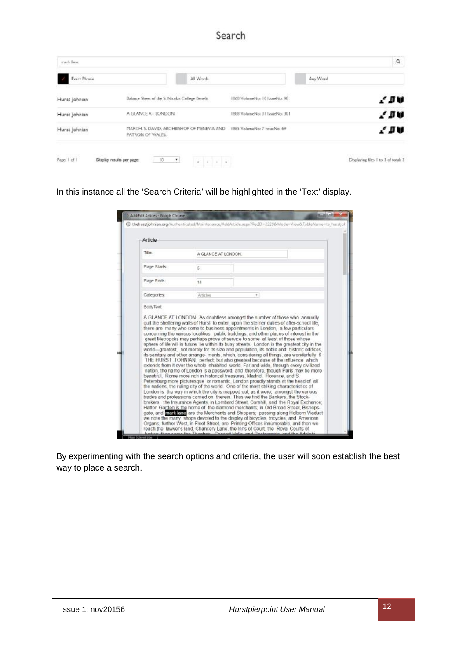| Exact Phrase  | All Words                                                                                  |                                | Any Word |
|---------------|--------------------------------------------------------------------------------------------|--------------------------------|----------|
| Hurst Johnian | Balance Sheet of the S. Nicolas College Benefit.                                           | 1868 VolumeNo: 10 IssueNo: 98  | 7 J V    |
| Hurst Johnian | A GLANCE AT LONDON.                                                                        | 1888 VolumeNo: 31 IssueNo: 301 | 7 J V    |
| Hurst Johnian | MARCH, S. DAVID, ARCHBISHOP OF MENEVIA AND 1865 VolumeNo: 7 hsueNo: 69<br>PATRON OF WALES. |                                | 2 J V    |

In this instance all the 'Search Criteria' will be highlighted in the 'Text' display.

| Article                                                                            |                                                                                                                                                                                                                                                                                                                                                                                                                                                                                                                                                                                                                                                                                                                                                                                                                                                                                                                                                                                                                                                                                                                                                                                                                                                                                                                                                                                                                                                                                                                             |   |  |
|------------------------------------------------------------------------------------|-----------------------------------------------------------------------------------------------------------------------------------------------------------------------------------------------------------------------------------------------------------------------------------------------------------------------------------------------------------------------------------------------------------------------------------------------------------------------------------------------------------------------------------------------------------------------------------------------------------------------------------------------------------------------------------------------------------------------------------------------------------------------------------------------------------------------------------------------------------------------------------------------------------------------------------------------------------------------------------------------------------------------------------------------------------------------------------------------------------------------------------------------------------------------------------------------------------------------------------------------------------------------------------------------------------------------------------------------------------------------------------------------------------------------------------------------------------------------------------------------------------------------------|---|--|
| Title:                                                                             | A GLANCE AT LONDON.                                                                                                                                                                                                                                                                                                                                                                                                                                                                                                                                                                                                                                                                                                                                                                                                                                                                                                                                                                                                                                                                                                                                                                                                                                                                                                                                                                                                                                                                                                         |   |  |
| Page Starts:                                                                       | k.                                                                                                                                                                                                                                                                                                                                                                                                                                                                                                                                                                                                                                                                                                                                                                                                                                                                                                                                                                                                                                                                                                                                                                                                                                                                                                                                                                                                                                                                                                                          |   |  |
| Page Ends:                                                                         | 16                                                                                                                                                                                                                                                                                                                                                                                                                                                                                                                                                                                                                                                                                                                                                                                                                                                                                                                                                                                                                                                                                                                                                                                                                                                                                                                                                                                                                                                                                                                          |   |  |
| Categories:                                                                        | Articles                                                                                                                                                                                                                                                                                                                                                                                                                                                                                                                                                                                                                                                                                                                                                                                                                                                                                                                                                                                                                                                                                                                                                                                                                                                                                                                                                                                                                                                                                                                    | ٠ |  |
| we note the many shops devoted to the display of bicycles, tricycles, and American | there are many who come to business appointments in London, a few particulars<br>concerning the various localities, public buildings, and other places of interest in the<br>great Metropolis may perhaps prove of service to some at least of those whose<br>sphere of life will in future lie within its busy streets. London is the greatest city in the<br>world-areatest not merely for its size and population, its noble and historic edifices.<br>its sanitary and other arrange- ments, which, considering all things, are wonderfully 6<br>THE HURST TOHNIAN perfect but also greatest because of the influence which<br>extends from it over the whole inhabited world. Far and wide, through every civilized<br>nation, the name of London is a password, and therefore, though Paris may be more<br>beautiful. Rome more rich in historical treasures, Madrid. Florence, and S.<br>Petersburg more picturesque or romantic. London proudly stands at the head of all<br>the nations, the ruling city of the world. One of the most striking characteristics of<br>London is the way in which the city is mapped out, as it were, amongst the various<br>trades and professions carried on therein. Thus we find the Bankers, the Stock-<br>brokers, the Insurance Agents, in Lombard Street, Cornhill, and the Royal Exchance:<br>Hatton Garden is the home of the diamond merchants: in Old Broad Street, Bishops-<br>gate, and <b>man bate</b> are the Merchants and Shippers; passing along Holborn Viaduct |   |  |

By experimenting with the search options and criteria, the user will soon establish the best way to place a search.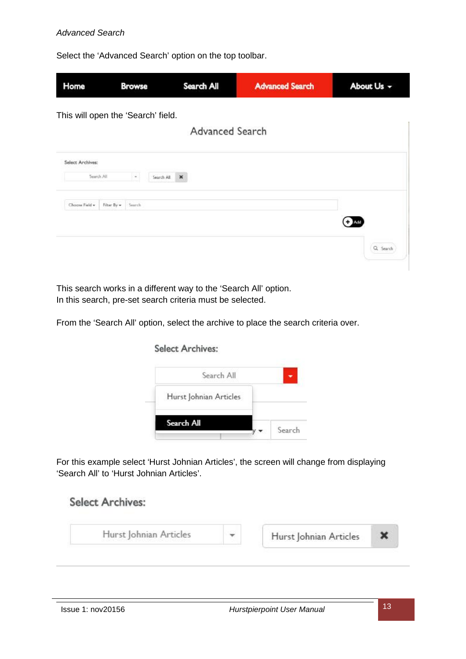#### *Advanced Search*

Select the 'Advanced Search' option on the top toolbar.

| Home                               |             | <b>Browse</b> | Search All                   | <b>Advanced Search</b> | About Us - |
|------------------------------------|-------------|---------------|------------------------------|------------------------|------------|
| This will open the 'Search' field. |             |               | Advanced Search              |                        |            |
| Select Archives:                   |             |               |                              |                        |            |
|                                    | Search All  | $\sim$        | Search All<br>$\pmb{\times}$ |                        |            |
| Choose Field +                     | Filter By = | Search        |                              |                        |            |
|                                    |             |               |                              |                        | Q Search   |

This search works in a different way to the 'Search All' option. In this search, pre-set search criteria must be selected.

**Select Archives:** 

From the 'Search All' option, select the archive to place the search criteria over.

# Search All Hurst Johnian Articles Search All Search

For this example select 'Hurst Johnian Articles', the screen will change from displaying 'Search All' to 'Hurst Johnian Articles'.

# **Select Archives:**

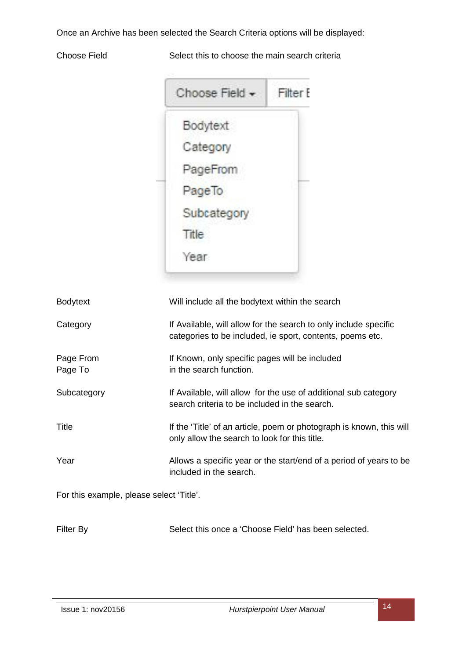Once an Archive has been selected the Search Criteria options will be displayed:

Choose Field Select this to choose the main search criteria

| Choose Field - | Filter E |
|----------------|----------|
| Bodytext       |          |
| Category       |          |
| PageFrom       |          |
| PageTo         |          |
| Subcategory    |          |
| Title          |          |
| Year           |          |

| <b>Bodytext</b>                          | Will include all the bodytext within the search                                                                               |
|------------------------------------------|-------------------------------------------------------------------------------------------------------------------------------|
| Category                                 | If Available, will allow for the search to only include specific<br>categories to be included, ie sport, contents, poems etc. |
| Page From<br>Page To                     | If Known, only specific pages will be included<br>in the search function.                                                     |
| Subcategory                              | If Available, will allow for the use of additional sub category<br>search criteria to be included in the search.              |
| Title                                    | If the 'Title' of an article, poem or photograph is known, this will<br>only allow the search to look for this title.         |
| Year                                     | Allows a specific year or the start/end of a period of years to be<br>included in the search.                                 |
| For this example, please select 'Title'. |                                                                                                                               |
| <b>Filter By</b>                         | Select this once a 'Choose Field' has been selected.                                                                          |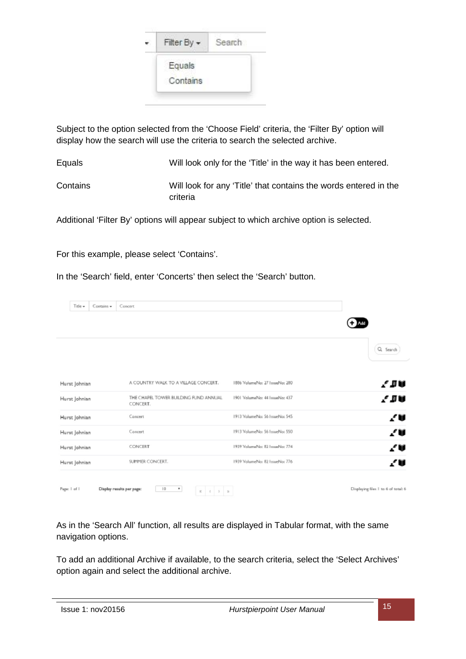

Subject to the option selected from the 'Choose Field' criteria, the 'Filter By' option will display how the search will use the criteria to search the selected archive.

Equals Will look only for the 'Title' in the way it has been entered. Contains Will look for any 'Title' that contains the words entered in the criteria

Additional 'Filter By' options will appear subject to which archive option is selected.

For this example, please select 'Contains'.

In the 'Search' field, enter 'Concerts' then select the 'Search' button.

| Title -       | Contains + | Concert                                                                                                                                                                                   |                                |                                     |
|---------------|------------|-------------------------------------------------------------------------------------------------------------------------------------------------------------------------------------------|--------------------------------|-------------------------------------|
|               |            |                                                                                                                                                                                           |                                |                                     |
|               |            |                                                                                                                                                                                           |                                | Q Search                            |
| Hurst Johnian |            | A COUNTRY WALK TO A VILLAGE CONCERT.                                                                                                                                                      | 1886 VolumeNo: 27 IssueNo: 280 | 7 I V                               |
| Hurst Johnian |            | THE CHAPEL TOWER BUILDING FUND ANNUAL<br>CONCERT.                                                                                                                                         | 1901 VolumeNo: 44 IssueNo: 437 | e d'u                               |
| Hurst Johnian |            | Concert                                                                                                                                                                                   | 1913 VolumeNo: 56 IssueNo: 545 | 70                                  |
| Hurst Johnian |            | Concert                                                                                                                                                                                   | 1913 VolumeNo: 56 IssueNo: 550 | 20                                  |
| Hurst Johnian |            | CONCERT                                                                                                                                                                                   | 1939 VolumeNo: 82 IssueNo: 774 | ZШ                                  |
| Hurst Johnian |            | SUMMER CONCERT.                                                                                                                                                                           | 1939 VolumeNo: 82 IssueNo: 776 | ZV                                  |
| Page: 1 of 1  |            | $\mathbb{I} \, 0$<br>Display results per page:<br>$\tau$<br>$\begin{array}{cccccccccccccc} \mathcal{U} & \mathcal{U} & \mathcal{U} & \mathcal{U} & \mathcal{U} & \mathcal{U} \end{array}$ |                                | Displaying files 1 to 6 of total: 6 |

As in the 'Search All' function, all results are displayed in Tabular format, with the same navigation options.

To add an additional Archive if available, to the search criteria, select the 'Select Archives' option again and select the additional archive.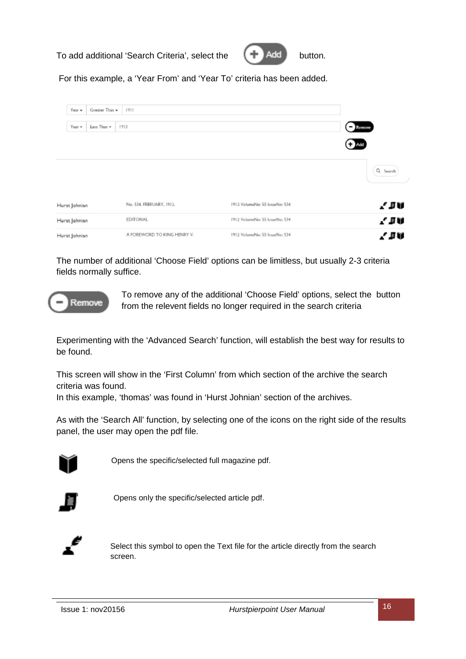To add additional 'Search Criteria', select the  $\Box$  Add button.



For this example, a 'Year From' and 'Year To' criteria has been added.

| Year -<br>Greater Than - | 1911                        |                                |                            |
|--------------------------|-----------------------------|--------------------------------|----------------------------|
| Year +<br>Less Than v    | 1913                        |                                | $B$ Remove<br><b>C</b> Add |
|                          |                             |                                | Q Search                   |
| Hurst Johnian            | No. 534. FEBRUARY, 1912.    | 1912 VolumeNa: 55 IssueNa: 534 | l IV                       |
| Hurst Johnian            | EDITORIAL                   | 1912 VolumeNo: 55 IssueNo: 534 | 7 SV                       |
| Hurst Johnian            | A FOREWORD TO KING HENRY V. | 1912 VolumeNo: 55 IssueNo: 534 | 人目前                        |

The number of additional 'Choose Field' options can be limitless, but usually 2-3 criteria fields normally suffice.



To remove any of the additional 'Choose Field' options, select the button from the relevent fields no longer required in the search criteria

Experimenting with the 'Advanced Search' function, will establish the best way for results to be found.

This screen will show in the 'First Column' from which section of the archive the search criteria was found.

In this example, 'thomas' was found in 'Hurst Johnian' section of the archives.

As with the 'Search All' function, by selecting one of the icons on the right side of the results panel, the user may open the pdf file.



Opens the specific/selected full magazine pdf.



Opens only the specific/selected article pdf.



Select this symbol to open the Text file for the article directly from the search screen.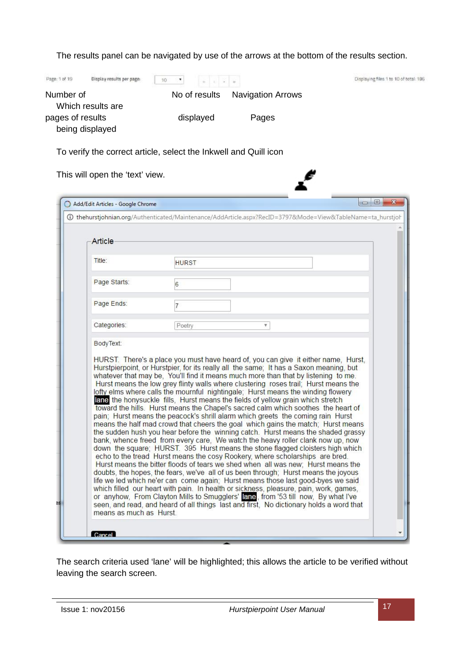The results panel can be navigated by use of the arrows at the bottom of the results section.

| Page: 1 of 19<br>Display results per page | $\overline{\phantom{a}}$<br>$10^{-1}$ |                          | Displaying files 1 to 10 of total: 196 |
|-------------------------------------------|---------------------------------------|--------------------------|----------------------------------------|
| Number of<br>Which results are            | No of results                         | <b>Navigation Arrows</b> |                                        |
| pages of results<br>being displayed       | displayed                             | Pages                    |                                        |

ť

To verify the correct article, select the Inkwell and Quill icon

This will open the 'text' view.

|              | 4 O thehurstjohnian.org/Authenticated/Maintenance/AddArticle.aspx?RecID=3797&Mode=View&TableName=ta_hurstjoh                                                                                                                                                                                                                                                                                                                                  |
|--------------|-----------------------------------------------------------------------------------------------------------------------------------------------------------------------------------------------------------------------------------------------------------------------------------------------------------------------------------------------------------------------------------------------------------------------------------------------|
| Article      |                                                                                                                                                                                                                                                                                                                                                                                                                                               |
| Title:       | <b>HURST</b>                                                                                                                                                                                                                                                                                                                                                                                                                                  |
| Page Starts: | 6                                                                                                                                                                                                                                                                                                                                                                                                                                             |
| Page Ends:   | $\overline{7}$                                                                                                                                                                                                                                                                                                                                                                                                                                |
| Categories:  | Poetry<br>$\mathbb {V}$                                                                                                                                                                                                                                                                                                                                                                                                                       |
|              | HURST. There's a place you must have heard of, you can give it either name, Hurst,<br>Hurstpierpoint, or Hurstpier, for its really all the same; It has a Saxon meaning, but<br>whatever that may be, You'll find it means much more than that by listening to me.<br>Hurst means the low grey flinty walls where clustering roses trail: Hurst means the<br>lofty elms where calls the mournful nightingale; Hurst means the winding flowery |

The search criteria used 'lane' will be highlighted; this allows the article to be verified without leaving the search screen.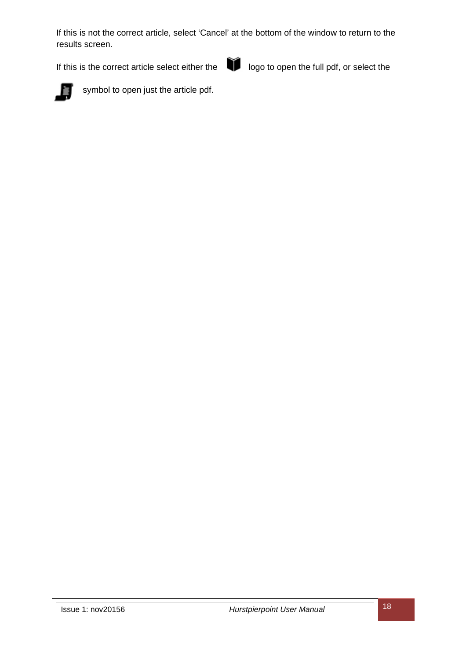If this is not the correct article, select 'Cancel' at the bottom of the window to return to the results screen.

If this is the correct article select either the logo to open the full pdf, or select the





symbol to open just the article pdf.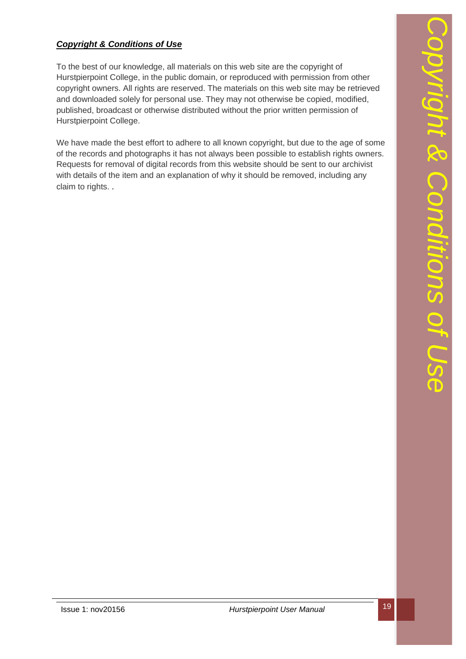# *Copyright & Conditions of Use*

To the best of our knowledge, all materials on this web site are the copyright of Hurstpierpoint College, in the public domain, or reproduced with permission from other copyright owners. All rights are reserved. The materials on this web site may be retrieved and downloaded solely for personal use. They may not otherwise be copied, modified, published, broadcast or otherwise distributed without the prior written permission of Hurstpierpoint College.

We have made the best effort to adhere to all known copyright, but due to the age of some of the records and photographs it has not always been possible to establish rights owners. Requests for removal of digital records from this website should be sent to our archivist with details of the item and an explanation of why it should be removed, including any claim to rights. .